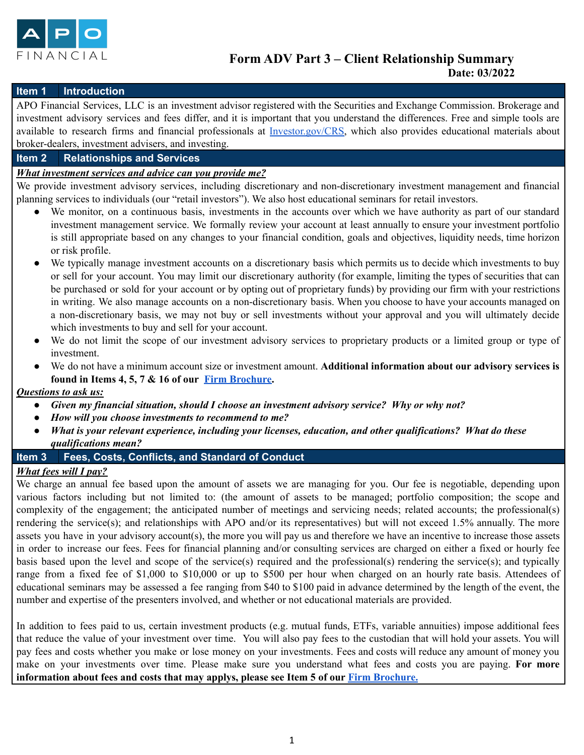

### **Item 1 Introduction**

APO Financial Services, LLC is an investment advisor registered with the Securities and Exchange Commission. Brokerage and investment advisory services and fees differ, and it is important that you understand the differences. Free and simple tools are available to research firms and financial professionals at [Investor.gov/CRS](https://www.investor.gov/home/welcome-investor-gov-crs), which also provides educational materials about broker-dealers, investment advisers, and investing.

#### **Item 2 Relationships and Services**

### *What investment services and advice can you provide me?*

We provide investment advisory services, including discretionary and non-discretionary investment management and financial planning services to individuals (our "retail investors"). We also host educational seminars for retail investors.

- We monitor, on a continuous basis, investments in the accounts over which we have authority as part of our standard investment management service. We formally review your account at least annually to ensure your investment portfolio is still appropriate based on any changes to your financial condition, goals and objectives, liquidity needs, time horizon or risk profile.
- We typically manage investment accounts on a discretionary basis which permits us to decide which investments to buy or sell for your account. You may limit our discretionary authority (for example, limiting the types of securities that can be purchased or sold for your account or by opting out of proprietary funds) by providing our firm with your restrictions in writing. We also manage accounts on a non-discretionary basis. When you choose to have your accounts managed on a non-discretionary basis, we may not buy or sell investments without your approval and you will ultimately decide which investments to buy and sell for your account.
- We do not limit the scope of our investment advisory services to proprietary products or a limited group or type of investment.
- We do not have a minimum account size or investment amount. **Additional information about our advisory services is found in Items 4, 5, 7 & 16 of our Firm [Brochure.](https://files.adviserinfo.sec.gov/IAPD/Content/Common/crd_iapd_Brochure.aspx?BRCHR_VRSN_ID=730216)**

#### *Questions to ask us:*

- *● Given my financial situation, should I choose an investment advisory service? Why or why not?*
- *● How will you choose investments to recommend to me?*
- *● What is your relevant experience, including your licenses, education, and other qualifications? What do these qualifications mean?*

### **Item 3 Fees, Costs, Conflicts, and Standard of Conduct**

### *What fees will I pay?*

We charge an annual fee based upon the amount of assets we are managing for you. Our fee is negotiable, depending upon various factors including but not limited to: (the amount of assets to be managed; portfolio composition; the scope and complexity of the engagement; the anticipated number of meetings and servicing needs; related accounts; the professional(s) rendering the service(s); and relationships with APO and/or its representatives) but will not exceed 1.5% annually. The more assets you have in your advisory account(s), the more you will pay us and therefore we have an incentive to increase those assets in order to increase our fees. Fees for financial planning and/or consulting services are charged on either a fixed or hourly fee basis based upon the level and scope of the service(s) required and the professional(s) rendering the service(s); and typically range from a fixed fee of \$1,000 to \$10,000 or up to \$500 per hour when charged on an hourly rate basis. Attendees of educational seminars may be assessed a fee ranging from \$40 to \$100 paid in advance determined by the length of the event, the number and expertise of the presenters involved, and whether or not educational materials are provided.

In addition to fees paid to us, certain investment products (e.g. mutual funds, ETFs, variable annuities) impose additional fees that reduce the value of your investment over time. You will also pay fees to the custodian that will hold your assets. You will pay fees and costs whether you make or lose money on your investments. Fees and costs will reduce any amount of money you make on your investments over time. Please make sure you understand what fees and costs you are paying. **For more information about fees and costs that may applys, please see Item 5 of our Firm [Brochure.](https://files.adviserinfo.sec.gov/IAPD/Content/Common/crd_iapd_Brochure.aspx?BRCHR_VRSN_ID=730216)**